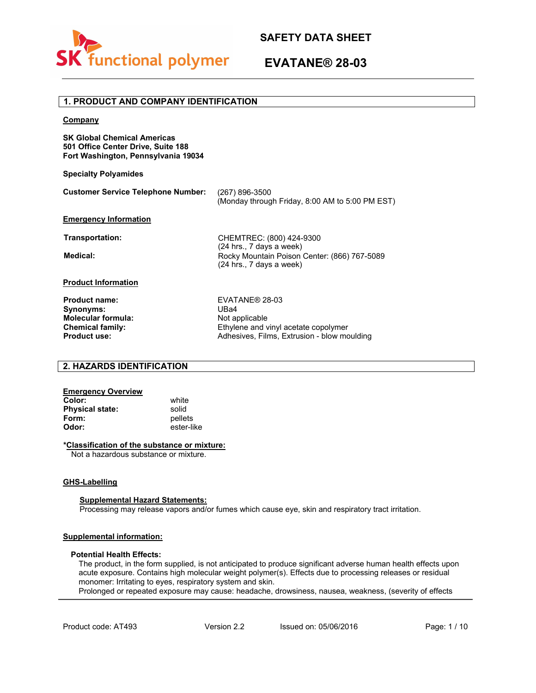

# **EVATANE® 28-03**

# **Company SK Global Chemical Americas 501 Office Center Drive, Suite 188 Fort Washington, Pennsylvania 19034 Specialty Polyamides Customer Service Telephone Number: Emergency Information** (267) 896-3500 (Monday through Friday, 8:00 AM to 5:00 PM EST) **Product Information Product name:** EVATANE® 28-03 **Synonyms:** UBa4 **Molecular formula:** Not applicable **Chemical family:** Ethylene and vinyl acetate copolymer<br> **Product use:** Adhesives, Films, Extrusion - blow mo Adhesives, Films, Extrusion - blow moulding **1. PRODUCT AND COMPANY IDENTIFICATION Transportation:** CHEMTREC: (800) 424-9300 (24 hrs., 7 days a week) **Medical:** Rocky Mountain Poison Center: (866) 767-5089 (24 hrs., 7 days a week)

# **2. HAZARDS IDENTIFICATION**

# **Emergency Overview**

**Color:** white<br> **Physical state:** solid **Physical state:**<br>Form: **Form:** pellets<br>Odor: ester-li

**Odor:** ester-like

#### **\*Classification of the substance or mixture:**

Not a hazardous substance or mixture.

### **GHS-Labelling**

### **Supplemental Hazard Statements:**

Processing may release vapors and/or fumes which cause eye, skin and respiratory tract irritation.

### **Supplemental information:**

### **Potential Health Effects:**

The product, in the form supplied, is not anticipated to produce significant adverse human health effects upon acute exposure. Contains high molecular weight polymer(s). Effects due to processing releases or residual monomer: Irritating to eyes, respiratory system and skin.

Prolonged or repeated exposure may cause: headache, drowsiness, nausea, weakness, (severity of effects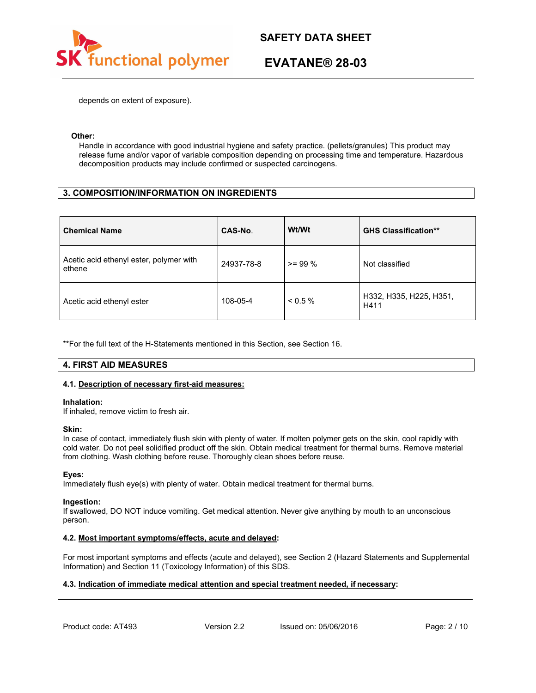

# **EVATANE® 28-03**

depends on extent of exposure).

#### **Other:**

Handle in accordance with good industrial hygiene and safety practice. (pellets/granules) This product may release fume and/or vapor of variable composition depending on processing time and temperature. Hazardous decomposition products may include confirmed or suspected carcinogens.

# **3. COMPOSITION/INFORMATION ON INGREDIENTS**

| <b>Chemical Name</b>                              | CAS-No.    | Wt/Wt     | <b>GHS Classification**</b>     |
|---------------------------------------------------|------------|-----------|---------------------------------|
| Acetic acid ethenyl ester, polymer with<br>ethene | 24937-78-8 | $>= 99\%$ | Not classified                  |
| Acetic acid ethenyl ester                         | 108-05-4   | $< 0.5\%$ | H332, H335, H225, H351,<br>H411 |

\*\*For the full text of the H-Statements mentioned in this Section, see Section 16.

# **4. FIRST AID MEASURES**

### **4.1. Description of necessary first-aid measures:**

#### **Inhalation:**

If inhaled, remove victim to fresh air.

### **Skin:**

In case of contact, immediately flush skin with plenty of water. If molten polymer gets on the skin, cool rapidly with cold water. Do not peel solidified product off the skin. Obtain medical treatment for thermal burns. Remove material from clothing. Wash clothing before reuse. Thoroughly clean shoes before reuse.

### **Eyes:**

Immediately flush eye(s) with plenty of water. Obtain medical treatment for thermal burns.

#### **Ingestion:**

If swallowed, DO NOT induce vomiting. Get medical attention. Never give anything by mouth to an unconscious person.

### **4.2. Most important symptoms/effects, acute and delayed:**

For most important symptoms and effects (acute and delayed), see Section 2 (Hazard Statements and Supplemental Information) and Section 11 (Toxicology Information) of this SDS.

### **4.3. Indication of immediate medical attention and special treatment needed, if necessary:**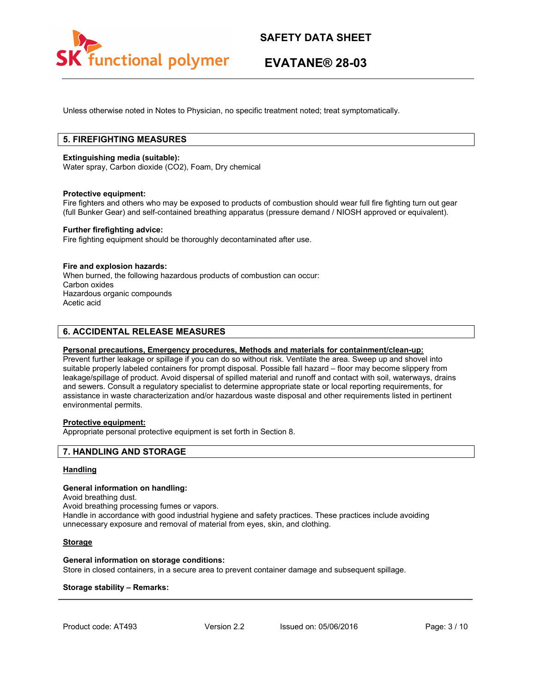

# **EVATANE® 28-03**

Unless otherwise noted in Notes to Physician, no specific treatment noted; treat symptomatically.

# **5. FIREFIGHTING MEASURES**

#### **Extinguishing media (suitable):**

Water spray, Carbon dioxide (CO2), Foam, Dry chemical

#### **Protective equipment:**

Fire fighters and others who may be exposed to products of combustion should wear full fire fighting turn out gear (full Bunker Gear) and self-contained breathing apparatus (pressure demand / NIOSH approved or equivalent).

#### **Further firefighting advice:**

Fire fighting equipment should be thoroughly decontaminated after use.

#### **Fire and explosion hazards:**

When burned, the following hazardous products of combustion can occur: Carbon oxides Hazardous organic compounds Acetic acid

# **6. ACCIDENTAL RELEASE MEASURES**

#### **Personal precautions, Emergency procedures, Methods and materials for containment/clean-up:**

Prevent further leakage or spillage if you can do so without risk. Ventilate the area. Sweep up and shovel into suitable properly labeled containers for prompt disposal. Possible fall hazard – floor may become slippery from leakage/spillage of product. Avoid dispersal of spilled material and runoff and contact with soil, waterways, drains and sewers. Consult a regulatory specialist to determine appropriate state or local reporting requirements, for assistance in waste characterization and/or hazardous waste disposal and other requirements listed in pertinent environmental permits.

#### **Protective equipment:**

Appropriate personal protective equipment is set forth in Section 8.

### **7. HANDLING AND STORAGE**

#### **Handling**

#### **General information on handling:**

Avoid breathing dust.

Avoid breathing processing fumes or vapors.

Handle in accordance with good industrial hygiene and safety practices. These practices include avoiding unnecessary exposure and removal of material from eyes, skin, and clothing.

### **Storage**

#### **General information on storage conditions:**

Store in closed containers, in a secure area to prevent container damage and subsequent spillage.

#### **Storage stability – Remarks:**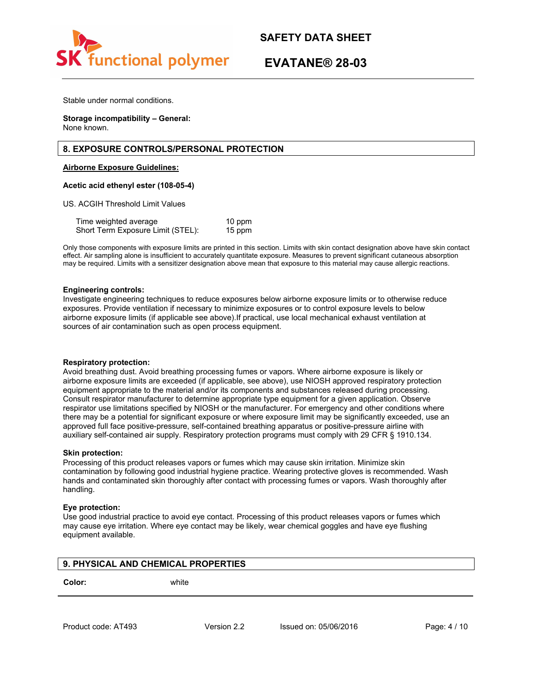

# **EVATANE® 28-03**

Stable under normal conditions.

**Storage incompatibility – General:** None known.

# **8. EXPOSURE CONTROLS/PERSONAL PROTECTION**

**Airborne Exposure Guidelines:**

#### **Acetic acid ethenyl ester (108-05-4)**

US. ACGIH Threshold Limit Values

Time weighted average 10 ppm Short Term Exposure Limit (STEL): 15 ppm

Only those components with exposure limits are printed in this section. Limits with skin contact designation above have skin contact effect. Air sampling alone is insufficient to accurately quantitate exposure. Measures to prevent significant cutaneous absorption may be required. Limits with a sensitizer designation above mean that exposure to this material may cause allergic reactions.

#### **Engineering controls:**

Investigate engineering techniques to reduce exposures below airborne exposure limits or to otherwise reduce exposures. Provide ventilation if necessary to minimize exposures or to control exposure levels to below airborne exposure limits (if applicable see above).If practical, use local mechanical exhaust ventilation at sources of air contamination such as open process equipment.

#### **Respiratory protection:**

Avoid breathing dust. Avoid breathing processing fumes or vapors. Where airborne exposure is likely or airborne exposure limits are exceeded (if applicable, see above), use NIOSH approved respiratory protection equipment appropriate to the material and/or its components and substances released during processing. Consult respirator manufacturer to determine appropriate type equipment for a given application. Observe respirator use limitations specified by NIOSH or the manufacturer. For emergency and other conditions where there may be a potential for significant exposure or where exposure limit may be significantly exceeded, use an approved full face positive-pressure, self-contained breathing apparatus or positive-pressure airline with auxiliary self-contained air supply. Respiratory protection programs must comply with 29 CFR § 1910.134.

#### **Skin protection:**

Processing of this product releases vapors or fumes which may cause skin irritation. Minimize skin contamination by following good industrial hygiene practice. Wearing protective gloves is recommended. Wash hands and contaminated skin thoroughly after contact with processing fumes or vapors. Wash thoroughly after handling.

#### **Eye protection:**

Use good industrial practice to avoid eye contact. Processing of this product releases vapors or fumes which may cause eye irritation. Where eye contact may be likely, wear chemical goggles and have eye flushing equipment available.

| 9. PHYSICAL AND CHEMICAL PROPERTIES |       |
|-------------------------------------|-------|
| Color:                              | white |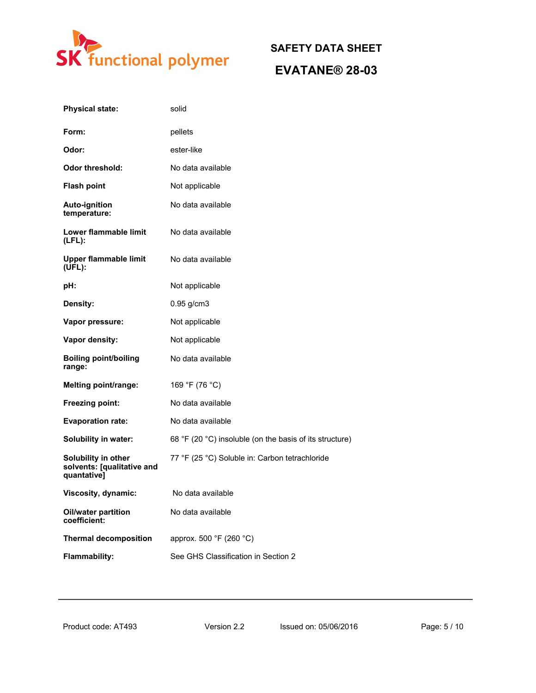

# **SAFETY DATA SHEET EVATANE® 28-03**

| <b>Physical state:</b>                                           | solid                                                   |
|------------------------------------------------------------------|---------------------------------------------------------|
| Form:                                                            | pellets                                                 |
| Odor:                                                            | ester-like                                              |
| <b>Odor threshold:</b>                                           | No data available                                       |
| <b>Flash point</b>                                               | Not applicable                                          |
| <b>Auto-ignition</b><br>temperature:                             | No data available                                       |
| Lower flammable limit<br>$(LFL)$ :                               | No data available                                       |
| <b>Upper flammable limit</b><br>(UEL):                           | No data available                                       |
| pH:                                                              | Not applicable                                          |
| Density:                                                         | $0.95$ g/cm $3$                                         |
| Vapor pressure:                                                  | Not applicable                                          |
| Vapor density:                                                   | Not applicable                                          |
| <b>Boiling point/boiling</b><br>range:                           | No data available                                       |
| <b>Melting point/range:</b>                                      | 169 °F (76 °C)                                          |
| Freezing point:                                                  | No data available                                       |
| <b>Evaporation rate:</b>                                         | No data available                                       |
| <b>Solubility in water:</b>                                      | 68 °F (20 °C) insoluble (on the basis of its structure) |
| Solubility in other<br>solvents: [qualitative and<br>quantative] | 77 °F (25 °C) Soluble in: Carbon tetrachloride          |
| Viscosity, dynamic:                                              | No data available                                       |
| Oil/water partition<br>coefficient:                              | No data available                                       |
| <b>Thermal decomposition</b>                                     | approx. 500 °F (260 °C)                                 |
| Flammability:                                                    | See GHS Classification in Section 2                     |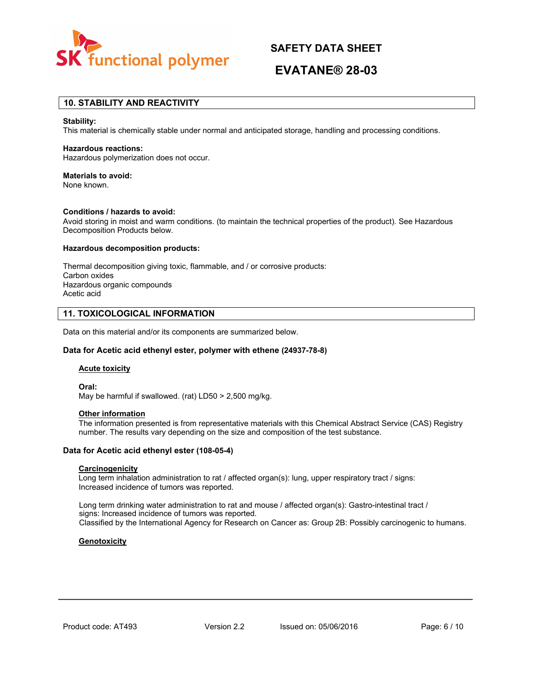

# **EVATANE® 28-03**

# **10. STABILITY AND REACTIVITY**

#### **Stability:**

This material is chemically stable under normal and anticipated storage, handling and processing conditions.

#### **Hazardous reactions:**

Hazardous polymerization does not occur.

#### **Materials to avoid:**

None known.

#### **Conditions / hazards to avoid:**

Avoid storing in moist and warm conditions. (to maintain the technical properties of the product). See Hazardous Decomposition Products below.

#### **Hazardous decomposition products:**

Thermal decomposition giving toxic, flammable, and / or corrosive products: Carbon oxides Hazardous organic compounds Acetic acid

### **11. TOXICOLOGICAL INFORMATION**

Data on this material and/or its components are summarized below.

#### **Data for Acetic acid ethenyl ester, polymer with ethene (24937-78-8)**

#### **Acute toxicity**

**Oral:** May be harmful if swallowed. (rat) LD50 > 2,500 mg/kg.

# **Other information**

The information presented is from representative materials with this Chemical Abstract Service (CAS) Registry number. The results vary depending on the size and composition of the test substance.

#### **Data for Acetic acid ethenyl ester (108-05-4)**

#### **Carcinogenicity**

Long term inhalation administration to rat / affected organ(s): lung, upper respiratory tract / signs: Increased incidence of tumors was reported.

Long term drinking water administration to rat and mouse / affected organ(s): Gastro-intestinal tract / signs: Increased incidence of tumors was reported. Classified by the International Agency for Research on Cancer as: Group 2B: Possibly carcinogenic to humans.

#### **Genotoxicity**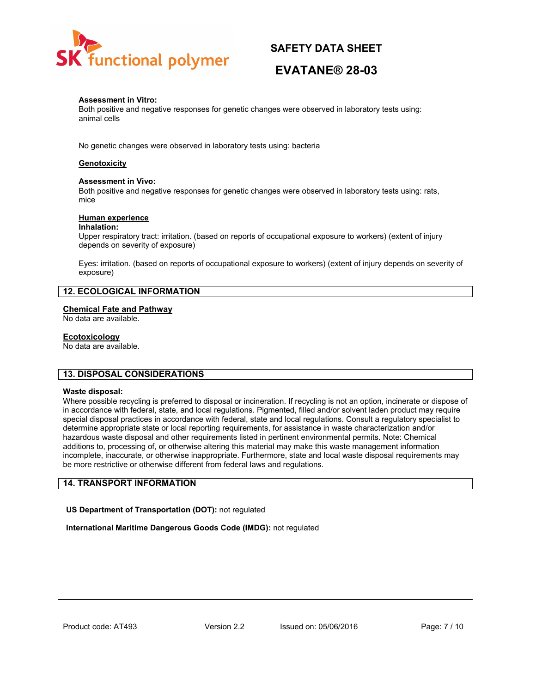

# **EVATANE® 28-03**

### **Assessment in Vitro:**

Both positive and negative responses for genetic changes were observed in laboratory tests using: animal cells

No genetic changes were observed in laboratory tests using: bacteria

#### **Genotoxicity**

#### **Assessment in Vivo:**

Both positive and negative responses for genetic changes were observed in laboratory tests using: rats, mice

#### **Human experience**

#### **Inhalation:**

Upper respiratory tract: irritation. (based on reports of occupational exposure to workers) (extent of injury depends on severity of exposure)

Eyes: irritation. (based on reports of occupational exposure to workers) (extent of injury depends on severity of exposure)

# **12. ECOLOGICAL INFORMATION**

#### **Chemical Fate and Pathway**

No data are available.

#### **Ecotoxicology**

No data are available.

### **13. DISPOSAL CONSIDERATIONS**

#### **Waste disposal:**

Where possible recycling is preferred to disposal or incineration. If recycling is not an option, incinerate or dispose of in accordance with federal, state, and local regulations. Pigmented, filled and/or solvent laden product may require special disposal practices in accordance with federal, state and local regulations. Consult a regulatory specialist to determine appropriate state or local reporting requirements, for assistance in waste characterization and/or hazardous waste disposal and other requirements listed in pertinent environmental permits. Note: Chemical additions to, processing of, or otherwise altering this material may make this waste management information incomplete, inaccurate, or otherwise inappropriate. Furthermore, state and local waste disposal requirements may be more restrictive or otherwise different from federal laws and regulations.

# **14. TRANSPORT INFORMATION**

**US Department of Transportation (DOT):** not regulated

**International Maritime Dangerous Goods Code (IMDG):** not regulated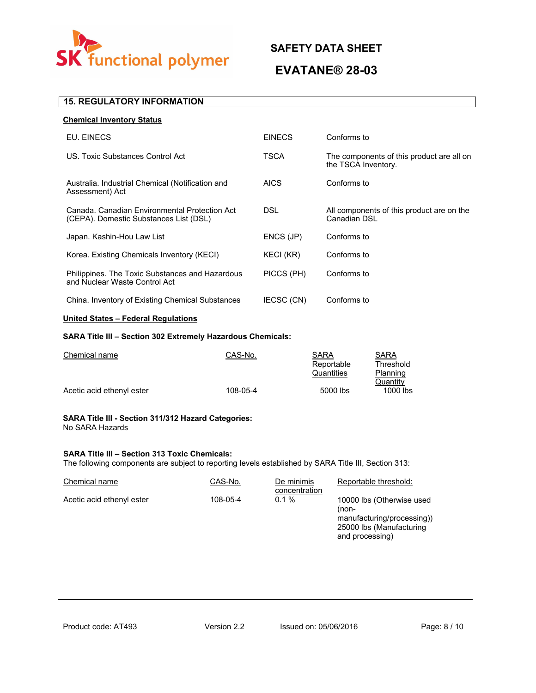

# **EVATANE® 28-03**

# **15. REGULATORY INFORMATION**

| <b>Chemical Inventory Status</b>                                                        |               |                                                                  |
|-----------------------------------------------------------------------------------------|---------------|------------------------------------------------------------------|
| EU. EINECS                                                                              | <b>EINECS</b> | Conforms to                                                      |
| US. Toxic Substances Control Act                                                        | TSCA          | The components of this product are all on<br>the TSCA Inventory. |
| Australia. Industrial Chemical (Notification and<br>Assessment) Act                     | <b>AICS</b>   | Conforms to                                                      |
| Canada, Canadian Environmental Protection Act<br>(CEPA). Domestic Substances List (DSL) | DSL.          | All components of this product are on the<br>Canadian DSL        |
| Japan. Kashin-Hou Law List                                                              | ENCS (JP)     | Conforms to                                                      |
| Korea. Existing Chemicals Inventory (KECI)                                              | KECI (KR)     | Conforms to                                                      |
| Philippines. The Toxic Substances and Hazardous<br>and Nuclear Waste Control Act        | PICCS (PH)    | Conforms to                                                      |
| China. Inventory of Existing Chemical Substances                                        | IECSC (CN)    | Conforms to                                                      |

# **United States – Federal Regulations**

# **SARA Title III – Section 302 Extremely Hazardous Chemicals:**

| CAS-No.  | <b>SARA</b> | <b>SARA</b> |
|----------|-------------|-------------|
|          | Reportable  | Threshold   |
|          | Quantities  | Planning    |
|          |             | Quantity    |
| 108-05-4 | 5000 lbs    | $1000$ lbs  |
|          |             |             |

#### **SARA Title III - Section 311/312 Hazard Categories:** No SARA Hazards

# **SARA Title III – Section 313 Toxic Chemicals:**

The following components are subject to reporting levels established by SARA Title III, Section 313:

| Chemical name             | CAS-No.  | De minimis<br>concentration | Reportable threshold:                                                                                           |
|---------------------------|----------|-----------------------------|-----------------------------------------------------------------------------------------------------------------|
| Acetic acid ethenyl ester | 108-05-4 | 0.1%                        | 10000 lbs (Otherwise used<br>(non-<br>manufacturing/processing))<br>25000 lbs (Manufacturing<br>and processing) |